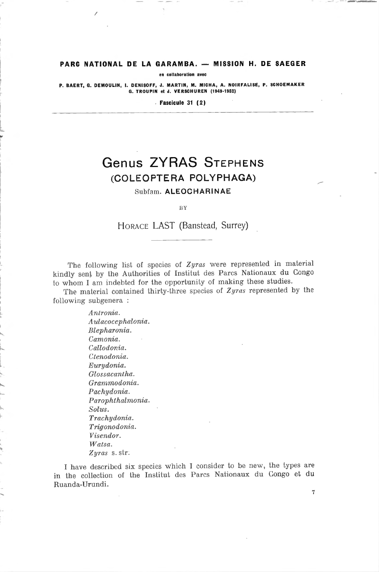### PARC NATIONAL DE LA GARAMBA. — MISSION H. DE SAEGER

en collaboration avec

P. BAERT, G. DEMOULIN, I. DENISOFF, J. MARTIN, M. MICHA, A. NOIRFALISE, P. SCHOEMAKER G. TROUPIN et J. VERSCHUREN (1949-1952)

Fascicule <sup>31</sup> (2)

# Genus ZYRAS Stephens (coleoptera polyphaga)

Subfam. ALEOCHARINAE

BY

Horace LAST (Banstead, Surrey)

The following list of species of Zyras were represented in material kindly sent by the Authorities of Institut des Parcs Nationaux du Congo to whom I am indebted for the opportunity of making these studies.

The material contained thirty-three species of Zyras represented by the following subgenera :

> Antronia. Aulacocephalonia. Blepharonia. Camonia. Callodonia. Ctenodonia. Eurydonia. Glossacantha. Grammodonia. Pachydonia. Parophlhalmonia. Solus. Trachydonia. Trigonodonia. Visendor. Watsa. Zyras s. str.

I have described six species which I consider to be new, the types are in the collection of the Institut des Parcs Nationaux du Congo et du Ruanda-Urundi.

7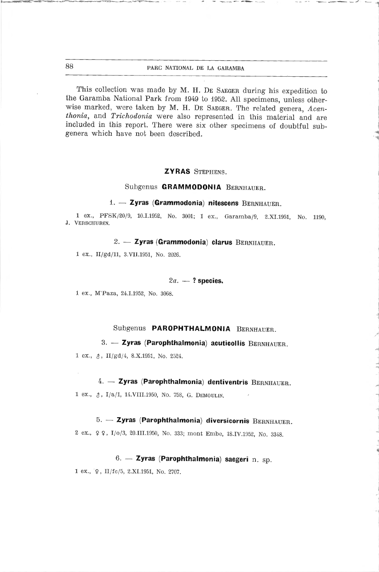This collection was made by M. H. DE SAEGER during his expedition to the Garamba National Park from <sup>1949</sup> to 1952. Ail specimens, unless otherwise marked, were taken by M. H. DE SAEGER. The related genera, Acanthonia, and Trichodonia were also represented in this material and are included in this report. There were six other specimens of doubtful subgenera which have not been described.

#### ZYRAS Stephens.

#### Subgenus GRAMMODONIA Bernhauer.

#### 1. — Zyras (Grammodonia) nitescens Bernhauer.

<sup>1</sup> ex., PFSK/20/9, 10.1.1952, No. 3001; <sup>1</sup> ex., Garamba/9, 2.XI.1951, No. 1190, J. Verschuren.

## 2. - Zyras (Grammodonia) clarus BERNHAUER.

<sup>1</sup> ex., II/gd/11, 3.VII.1951, No. 2026.

## $2a. -$ ? species.

<sup>1</sup> ex., M'Paza, 24.1.1952, No. 3068.

## Subgenus PAROPHTHALMONIA BERNHAUER.

## 3. - Zyras (Parophthalmonia) acuticollis BERNHAUER.

<sup>1</sup> ex., \$, II/gd/4, 8.X.1951, No. 2524.

## 4. - Zyras (Parophthalmonia) dentiventris BERNHAUER.

1 ex.,  $\delta$ , I/a/1, 14. VIII. 1950, No. 758, G. DEMOULIN.

## 5. - Zyras (Parophthalmonia) diversicornis BERNHAUER.

2 ex.,  $\varphi$   $\varphi$ , I/0/3, 20.III.1950, No. 333; mont Embe, 18.IV.1952, No. 3348.

## 6. — Zyras (Parophthalmonia) saegeri n. sp.

 $1 \text{ ex.}, \, \forall \varphi, \, \text{II/fc/5}, \, 2.XI.1951, \, \text{No. } 2707.$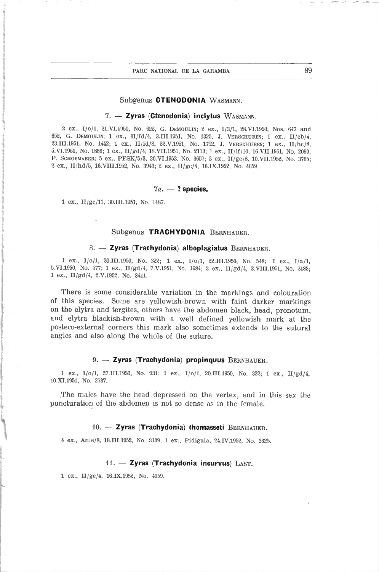#### Subgenus CTENODONIA Wasmann.

#### 7. — Zyras (Ctenodonia) inclytus Wasmann.

<sup>2</sup> ex., I/o/l, 21.VI.1950, No. 622, G. Demoulin; <sup>2</sup> ex., 1/3/1, 28.VI.1950, Nos. <sup>647</sup> and 652, G. Demoulin; <sup>1</sup> ex., lI/fd/4, 3.III.1951, No. 1325, J. Verschuren; <sup>1</sup> ex., II/cb/4, 23.111.1951, No. 1442; <sup>1</sup> ex., II/id/8, 22.V.1951, No. 1792, J. Verschuren; <sup>1</sup> ex., II/hc/8, 5.VI.1951, No. 1866; <sup>1</sup> ex., II/gd/4, 18.VII.1951, No. 2113; <sup>1</sup> ex., ll/lf/10, 16.VII.1951, No. 2090, P. SCHOEMAKER; 5 ex., PFSK/5/3, 20.VI.1952, No. 3657; 2 ex., II/gc/8, 10.VII.1952, No. 3765; <sup>2</sup> ex., II/hd/5, 16.VIII.1952, No. 3943; <sup>2</sup> ex., II/gc/4, 16.IX.1952, No. 4059.

## $7a. - ?$  species.

<sup>1</sup> ex., II/gc/11, 30.III.1951, No. 1487.

#### Subgenus TRACHYDONIA BERNHAUER.

#### 8. - Zyras (Trachydonia) alboplagiatus BERNHAUER.

<sup>1</sup> ex., I/o/l, 20.111.1950, No. 322; <sup>1</sup> ex., I/o/l, 22.111.1950, No. 548; <sup>1</sup> ex., I/a/1, 5.VI.1950, No. 577; <sup>1</sup> ex., II/gd/4, 7.V.1951, No. 1684; <sup>2</sup> ex., II/gd/4, 2.VIII.1951, No. 2183; <sup>1</sup> ex., II/gd/4, 2.V.1952, No. 3411.

There is some considerable variation in the markings and colouration of this species. Some are yellowish-brown with faint darker markings on the elytra and tergites, others have the abdomen black, head, pronotum, and elytra blackish-brown with <sup>a</sup> well defined yellowish mark at the postero-external corners this mark also sometimes extends to the suturai angles and also along the whole of the suture.

#### 9. - Zyras (Trachydonia) propinquus BERNHAUER.

<sup>1</sup> ex., I/o/l, 27.111.1950, No. 331; <sup>1</sup> ex., I/o/l, 20.111.1950, No. 322; <sup>1</sup> ex., II/gd/4, 10.XI.1951, No. 2737.

The maies have the head depressed on the veriex, and in this sex the puncturation of the abdomen is not so dense as in the female.

#### 10. - Zyras (Trachydonia) thomasseti BERNHAUER.

<sup>4</sup> ex., Anie/8, 18.111.1952, No. 3139; <sup>1</sup> ex., Pidigala, 24.IV.1952, No. 3325.

#### 11. - Zyras (Trachydonia incurvus)  $\text{LAST.}$

<sup>1</sup> ex., II/gc/4, 16.IX.1952, No. 4059.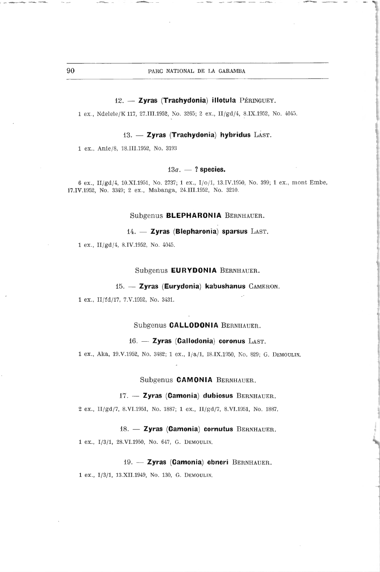#### 12. - Zyras (Trachydonia) illotula Péringuey.

1 ex., Ndelele/K 117, 27.III.1952, No. 3265; 2 ex., II/gd/4, 8.IX.1952, No. 4045.

#### 13. — Zyras (Trachydonia) hybridus LAST.

<sup>1</sup> ex., Anie/8, 18.III. 1952, No. 3193

#### $13a. - ?$  species.

6 ex., II/gd/4, 10.XI.1951, No. 2737; 1 ex., I/o/1, 13.IV.1950, No. 399; 1 ex., mont Embe, 17.IV.1952, No. 3349; 2 ex., Mabanga, 24.III.1952, No. 3210.

#### Subgenus BLEPHARONIA BERNHAUER.

14. - Zyras (Blepharonia) sparsus LAST.

<sup>1</sup> ex., II/gd/4, 8.IV.1952, No. 4045.

#### Subgenus EURYDONIA Bernhauer.

#### 15. - Zyras (Eurydonia) kabushanus CAMERON.

<sup>1</sup> ex., II/fd/17, 7.V.1952, No. 3431.

#### Subgenus CALLODONIA Bernhauer.

#### 16. - Zyras (Callodonia) coronus LAST.

<sup>1</sup> ex., Aka, 19.V.1952, No. 3482; <sup>1</sup> ex., I/a/1, 18.IX.1950, No. 829; G. Demoulin.

#### Subgenus **CAMONIA** BERNHAUER.

#### 17. - Zyras (Camonia) dubiosus BERNHAUER.

<sup>2</sup> ex., lI/gd/7, 8.VI.1951, No. 1887; <sup>1</sup> ex., II/gd/7, 8.VI.1951, No. 1887.

#### 18. - Zyras (Camonia) cornutus BERNHAUER.

<sup>1</sup> ex., 1/3/1, 28.VI.1950, No. 647, G. Demoulin.

#### 19. - Zyras (Camonia) ebneri BERNHAUER.

<sup>1</sup> ex., 1/3/1, 13.XII.1949, No. 130, G. Demoulin.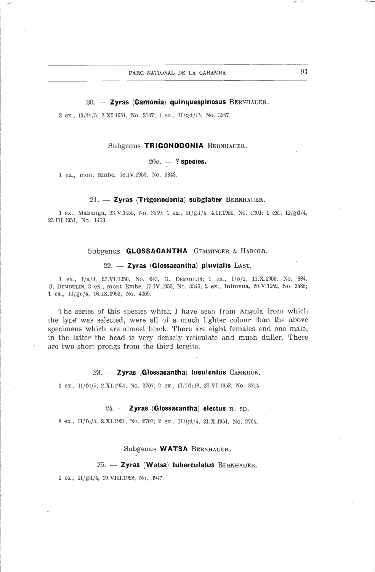#### 20. - Zyras (Camonia) quinquespinosus BERNHAUER.

<sup>2</sup> ex., Il fc/5, 2.XI.1951, No. 2707; <sup>1</sup> ex., ll/gd/14, No. 3947.

#### Subgenus TRIGONODONIA Bernhauer.

#### $20a. - ?$  species.

<sup>1</sup> ex., mont Enibe, 18.IV.1952, No. 3348.

#### 21. — Zyras (Trigonodonia) subglaber Bernhauer.

<sup>1</sup> ex., Mabanga, 23.V.1952, No. <sup>35</sup> 49; <sup>1</sup> ex., II/gd/4, 4.II.1951, No. 1201; <sup>1</sup> ex., II/gd/4, 25.III.1951, No. 1453.

## Subgenus GLOSSACANTHA Gemminger & Harold.

#### 22. - Zyras (Glossacantha) pluvialis LAST.

<sup>1</sup> ex., I/a/3, 27.VI.1950, No. 643, G. Demoulin; <sup>1</sup> ex., I/o/l, 11.X.1950, No. 884, G. Demoulin; <sup>3</sup> ex., mont Ernbe, 17.IV.1952, No. 3349; <sup>2</sup> ex., Inimvua, 20.V.1952, No. 3488; 1 ex., II/gc/4, 16.IX.1952, No. 4059.

The series of this species which <sup>1</sup> have seen from Angola from which the type was selected, were ail of <sup>a</sup> much lighter colour than the above specimens which are almost black. There are eight females and one maie, in the latter the head is very densely reticulate and much duller. There are two short prongs from the third tergite.

#### 23. — Zyras (Glossacantha) luculentus CAMERON.

<sup>1</sup> ex., II/fc/5, 2.XI.1951, No. 2707; <sup>2</sup> ex., II fd 18, 28.VI.1952, No. 3714.

#### $24. - Zy$ ras (Glossacantha) electus n. sp.

<sup>8</sup> ex,, II/fc/5, 2.XI.1951, No. 2707; <sup>2</sup> ex., II/gd/4, 31.X.1951, No. 2704.

#### Subgenus WATSA BERNHAUER.

#### $25. -$  Zyras (Watsa) tuberculatus BERNHAUER.

<sup>1</sup> ex., II/gd/4, 19.V11I.1952, No. 3947.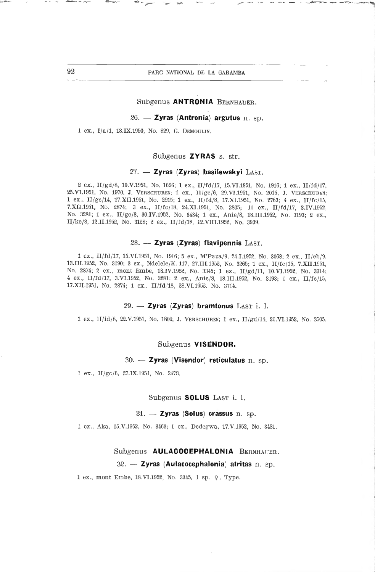#### Subgenus ANTRONIA Bernhauer.

### 26. — Zyras (Antronia) argutus n. sp.

<sup>1</sup> ex., I/a/1, 18.IX.1050, No. 829, G. Demoulin.

#### Subgenus ZYRAS s. str.

#### $27.$  - Zyras (Zyras) basilewskyi LAST.

<sup>2</sup> ex., II/gd/8, 10.V.1951, No. 1696; <sup>1</sup> ex., II/fd/17, 15.VI.1951, No. 1916; <sup>1</sup> ex., II/fd/17, 25.VI.1951, No. 1970, J. Verschuren; <sup>1</sup> ex., II/gc/6, 29.VI.1951, No. 2015, J. Verschuren; <sup>1</sup> ex., II/gc/14, 17.XII.1951, No. 2915; <sup>1</sup> ex., II/fd/8, 17.XI.1951, No. 2763; <sup>4</sup> ex., ll/fc/15, 7.XII.1951, No. 2874; <sup>3</sup> ex., ll/fc/18, 24.XI.1951, No. 2805; <sup>11</sup> ex., II/fd/17, 3.IV.1952, No. 3281; <sup>1</sup> ex., II/gc/8, 30.IV.1952, No. 3434; <sup>1</sup> ex., Anie/8, 18.III.1952, No. 3193; <sup>2</sup> ex., II/ke/8, 12.11.1952, No. 3128; <sup>2</sup> ex., II/fd/18, 12.VIII.1952, No. 3939.

#### 28. - Zyras (Zyras) flavipennis LAST.

<sup>1</sup> ex., II/fd/17, 15.VI.1951, No. 1916; <sup>5</sup> ex., M'Paza/9, 24.1.1952, No. 3068; <sup>2</sup> ex., II/eb/9, 13.II 1.1952, No. 3190; <sup>3</sup> ex., Ndelele/K. 117, 27.111.1952, No. 3265; <sup>1</sup> ex., II/fc/15, 7.XII.1951, No. 2874; <sup>2</sup> ex., mont Embe, 18.IV.1952, No. 3345; <sup>1</sup> ex., II/gd/11, 10.VI.1952, No. 3314; <sup>4</sup> ex., II/fd/17, 3.VI.1952, No. 3281; <sup>2</sup> ex., Anie/8, 18.111.1952, No. 3193; <sup>1</sup> ex., II/fc/15, 17.XII.1951, No. 2874; <sup>1</sup> ex., II/fd/18, 28.VI.1952, No. 3714.

#### $29. - Zyras$  (Zyras) bramtonus LAST i. 1.

<sup>1</sup> ex., ll/id/8, 22.V.1951, No. 1809, J. Verschuren; <sup>1</sup> ex., II/gd/14, 26.VI.1952, No. 3705.

#### Subgenus VISENDOR.

#### 30. — Zyras (Visendor) reticulatus n. sp.

<sup>1</sup> ex., II/gc/6, 27.1X.1951, No. 2478.

#### Subgenus SOLUS LAST i. l.

#### $31. -$  Zyras (Solus) crassus n. sp.

<sup>1</sup> ex., Aka, 15.V.1952, No. 3463; <sup>1</sup> ex., Dedegwa, 17.V.1952, No. 3481.

## Subgenus AULACOCEPHALONIA BERNHAUER.

#### $32. -$  Zyras (Aulacocephalonia) atritas n. sp.

<sup>1</sup> ex., mont Embe, 18.VI.1952, No. 3345, <sup>1</sup> sp. 9. Type.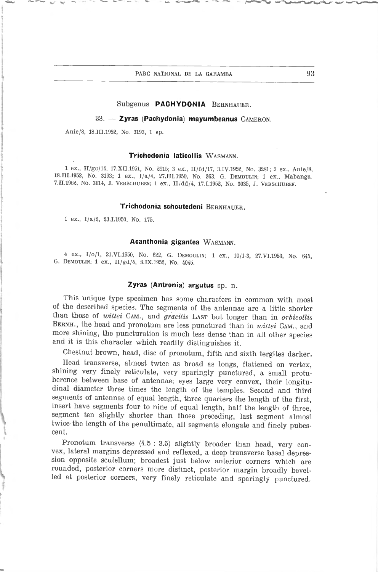## Subgenus PACHYDONIA Bernhauer.

 $33. -$  Zyras (Pachydonia) mayumbeanus CAMERON.

Anle/8, 1S.III.1952, No. 3193, <sup>1</sup> sp.

#### Trichodonia laticollis Wasmann.

<sup>1</sup> ex., II/gc/14, 17.XII.1951, No. 2915; <sup>3</sup> ex., II/fd/17, 3.IV.1952, No. 3281; <sup>3</sup> ex., Anie/8, 18.111.1952, No. 3193; <sup>1</sup> ex., I/a/4, 27.III.1950, No. 363, G. Demoulin; <sup>1</sup> ex., Mabanga, 7.11.1952, No. 3114, J. Verschuren; <sup>1</sup> ex., II/dd/4, 17.1.1952, No. 3035, J. Verschuren.

### Trichodonia schoutedeni BERNHAUER.

<sup>1</sup> ex., I/a/2, 23.1.1950, No. 175.

#### Acanthonia gigantea Wasmann.

<sup>4</sup> ex., I/o/l, 21.VI.1950, No. 622, G. Demoulin; <sup>1</sup> ex., 10/1-3, 27.VI.1950, No. 645, G. Demoulin; <sup>1</sup> ex., II/gd/4, 3.IX.1952, No. 4045.

#### Zyras (Antronia) argutus sp. n.

This unique type specimen has some characters in common with most of the described species. The segments of the antennae are <sup>a</sup> little shorter than those of *wittei* CAM., and *gracilis* LAST but longer than in *orbicollis* BERNH., the head and pronotum are less punctured than in *wittei* CAM., and more shining, the puncturation is much less dense than in all other species and it is this character which readily distinguishes it.

Chestnut brown, head, dise of pronotum, fifth and sixth tergites darker.

Head transverse, almost twice as broad as longs, flattened on vertex, shining very finely reticulate, very sparingly punctured, a small protuberence between base of antennae; eyes large very convex, their longitu-<br>dinal diameter three times the length of the temples. Second and third segments of antennae of equal length, three quarters the length of the first, insert have segments four to nine of equal length, half the length of three, segment ten slightly shorter than those preceding, last segment almost twice the length of the penultimate, all segments elongate and finely pubes- cent.

Pronotum transverse  $(4.5 : 3.5)$  slightly broader than head, very convex, lateral margins depressed and reflexed, a deep transverse basal depression opposite scutellum; broadest just below anterior corners which are rounded, posterior corners more distinct, posterior margin broadly bevelled at posterior corners, very finely reticulate and sparingly punctured.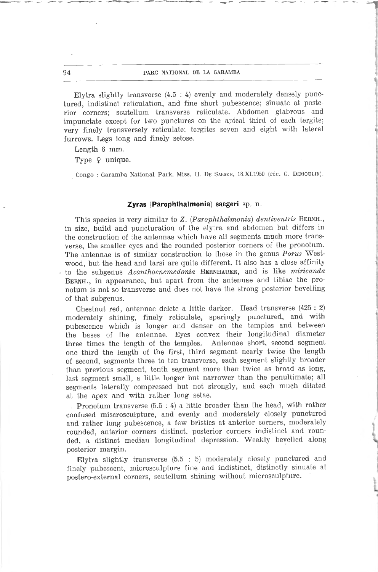#### 94 **parc national de la Garamba**

Elytra slightly transverse (4.5 : 4) evenly and moderately densely punctured, indistinct reticulation, and fine short pubescence; sinuate at posterior corners; scutellum transverse reticulate. Abdomen glabrous and impunctate except for two punctures on the apical third of each tergite; very finely transversely reticulate; tergites seven and eight with latéral furrows. Legs long and finely setose.

Length 6 mm.

Type  $9$  unique.

Congo : Garamba National Park, Miss. H. DE SAEGER, 18.XI.1950 (réc. G. DEMOULIN).

#### Zyras (Parophthalmonia) saegeri sp. n.

This species is very similar to Z. (Parophthalmonia) dentiventris BERNH., in size, build and puncturation of the elytra and abdomen but differs in the construction of the antennae which have all segments much more transverse, the smaller eyes and the rounded posterior corners of the pronotum. The antennae is of similar construction to those in the genus Porus Westwood, but the head and tarsi are quite different. It also has <sup>a</sup> close affinity to the subgenus Acanthocnemedonia BERNHAUER, and is like miricanda BERNH., in appearance, but apart from the antennae and tibiae the pronotum is not so transverse and does not have the strong posterior bevelling of that subgenus.

Chestnut red, antennae delete <sup>a</sup> little darker. Head transverse (425 : 2) moderately shining, finely reticulate, sparingly punctured, and with pubescence which is longer and denser on the temples and between the bases of the antennae. Eyes convex their longitudinal diameter three times the length of the temples. Antennae short, second segment three times the length of the temples. one third the length of the first, third segment nearly twice the length of second, segments three to ten transverse, each segment slightly broader than previous segment, tenth segment more than twice as broad as long, last segment small, <sup>a</sup> little longer but narrower than the penultimate; ail segments laterally compressed but not strongly, and each much dilated at the apex and with rather long setae.

Pronotum transverse (5.5 : 4) <sup>a</sup> little broader than the head, with rather confused miscrosculpture, and evenly and moderately closely punctured and rather long pubescence, <sup>a</sup> few bristles at anterior corners, moderately rounded, anterior corners distinct, posterior corners indistinct and rounded, a distinct median longitudinal depression. Weakly bevelled along posterior margin.

Elytra slightly transverse (5.5 : 5) moderately closely punctured and finely pubescent, microsculpture fine and indistinct, distinctly sinuate at postero-external corners, scutellum shining without microsculpture.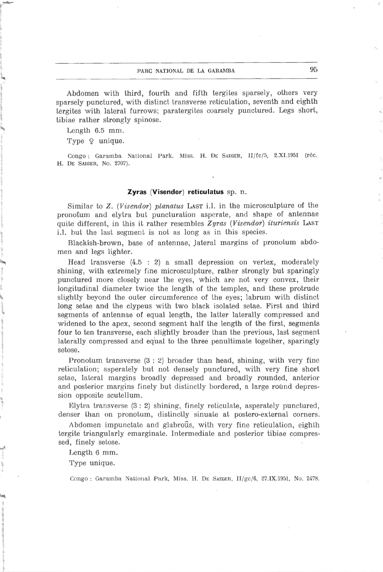## parc national de la garamba 95

Abdomen with third, fourth and fifth tergites sparsely, others very sparsely punctured, with distinct transverse reticulation, seventh and eighth tergites with lateral furrows; paratergites coarsely punctured. Legs short, tibiae rather strongly spinose.

Length 6.5 mm.

Type  $Q$  unique.

Congo : Garamba National Park, Miss. H. Dr. SAEGER, II/fc/5, 2.XI.1951 (réc. H. DE SAEGER, No. 2707).

#### Zyras (Visendor) reticulatus sp. n.

Similar to Z. (Visendor) planatus Last i.l. in the microsculpture of the pronotum and elytra but puncturation asperate, and shape of antennae quite different, in this it rather resembles Zyras (Visendor) ituriensis LAST i.l. but the last segment is not as long as in this species.

Blackish-brown, base of antennae, lateral margins of pronotum abdomen and legs lighter.

Head transverse (4.5 : 2) <sup>a</sup> small dépression on vertex, moderately shining, with extremely fine microsculpture, rather strongly but sparingly punctured more closely near the eyes, which are not very convex, their longitudinal diameter twice the length of the temples, and these protrude slightly bevond the outer circumference of the eyes; labrum with distinct long setae and the clypeus with two black isolated setae. First and third segments of antennae of equal length, the latter laterally compressed and widened to the apex, second segment half the length of the first, segments four to ten transverse, each slightly broader than the previous, last segment laterally compressed and equal to the three penultimate together, sparingly setose.

Pronotum transverse (3 : 2) broader than head, shining, with very fine reticulation; asperately but not densely punctured, with very fine short setae, lateral margins broadly depressed and broadly rounded, anterior and posterior margins finely but distinctly bordered, a large round depression opposite scutellum.

Elytra transverse (3 : 2) shining, finely reticulate, asperately punctured, denser than on pronotum, distinctly sinuate at postero-external corners.

Abdomen impunctate and glabroûs, with very fine reticulation, eighth tergite triangularly emarginate. Intermediate and posterior tibiae compressed, finely setose.

Length 6 mm.

Type unique.

Congo : Garamba National Park, Miss. H. De Saeger, lI/gc/6, 27.IX.1951, No. 2478.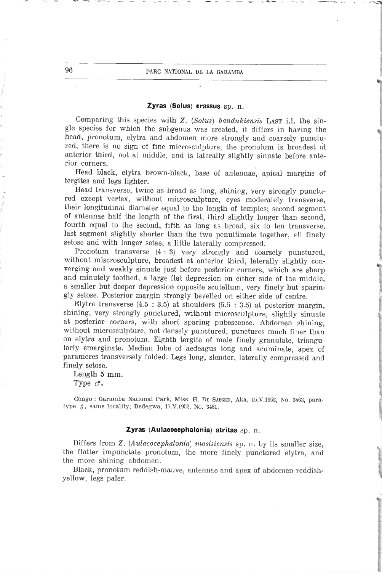## Zyras (Solus) crassus sp. n.

Comparing this species with Z. (Solus) bandukiensis LAST i.l. the single species for which the subgenus was created, it differs in having the head, pronotum, elytra and abdomen more strongly and coarsely punctured, there is no sign of fine microsculpture, the pronotum is broadest at anterior third, not at middle, and is laterally slightly sinuate before anterior corners.

Head black, elytra brown-black, base of antennae, apical margins of tergites and legs lighter.

Head transverse, twice as broad as long, shining, very strongly punctured except vertex, without microsculpture, eyes moderately transverse, their longitudinal diameter equal to the length of temples; second segment of antennae half the length of the first, third slightly longer than second, fourth equal to the second, fifth as long as broad, six to ten transverse, last segment slightly shorter than the two penultimate together, ail finely setose and with longer setae, <sup>a</sup> little laterally compressed.

Pronotum transverse (4 : 3) very strongly and coarsely punctured, without miscrosculpture, broadest at anterior third, laterally slightly converging and weakly sinuate just before posterior corners, which are sharp and minutely toothed, <sup>a</sup> large flat dépression on either side of the middle, <sup>a</sup> smaller but deeper dépression opposite scutellum, very finely but sparingly setose. Posterior margin strongly bevelled on either side of centre.

Elytra transverse  $(4.5 : 3.5)$  at shoulders  $(5.5 : 3.5)$  at posterior margin, shining, very strongly punctured, without microsculpture, slightly sinuate at posterior corners, with short sparing pubescence. Abdomen shining, without microsculpture, not densely punctured, punctures much finer than on elytra and pronotum. Eighth tergite of male finely granulate, triangularly emarginate. Median lobe of aedeagus long and acuminate, apex of parameres transversely folded. Legs long, slender, laterally compressed and finely setose.

Length 5 mm. Type  $\sigma$ .

Congo : Garamba National Park, Miss. H. DE SAEGER, Aka, 15.V.1952, No. 3463, paratype  $\delta$ , same locality; Dedegwa, 17.V.1952, No. 3481.

#### Zyras (Aulacocephalonia) atritas sp. n.

Differs from Z. (Aulacocephalonia) masisiensis sp. n. by its smaller size, the flatter impunctate pronotum, the more finely punctured elytra, and the more shining abdomen.

Black, pronotum reddish-mauve, antennae and apex of abdomen reddishyellow, legs paler.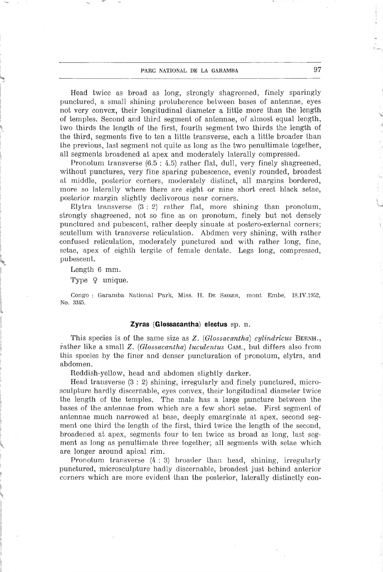### parc national de la garamba 97

Head twice as broad as long, strongly shagreened, finely sparingly punctured, a small shining protuberence between bases of antennae, eyes not very convex, their longitudinal diameter <sup>a</sup> little more than the length of temples. Second and third segment of antennae, of almost equal length, two thirds the length of the first, fourth segment two thirds the length of the third, segments five to ten <sup>a</sup> little transverse, each <sup>a</sup> little broader than the previous, last segment not quite as long as the two penultimate together, ail segments broadened at apex and moderately laterally compressed.

Pronotum transverse (6.5 : 4.5) rather flat, dull, very finely shagreened, without punctures, very fine sparing pubescence, evenly rounded, broadest at middle, posterior corners, moderately distinct, all margins bordered, more so laterally where there are eight or nine short erect black setae, posterior margin slightly declivorous near corners.

Elytra transverse (3 : 2) rather flat, more shining than pronotum, strongly shagreened, not so fine as on pronotum, finely but not densely punctured and pubescent, rather deeply sinuate at postero-external corners; scutellum with transverse reticulation. Abdmen very shining, with rather confused reticulation, moderately punctured and with rather long, fine, setae, apex of eighth tergite of fernale dentate. Legs long, compressed, pubescent.

Length 6 mm.

Type  $9$  unique.

Congo : Garamba National Park, Miss. H. De Saeger, mont Embe, 1S.IV.1952, No. 3345.

#### Zyras (Glossacantha) electus  $sp. n.$

This species is of the same size as Z. (Glossacantha) cylindricus BERNH., rather like a small Z. (Glossacantha) luculentus CAM., but differs also from this species by the finer and denser puncturation of pronotum, elytra, and abdomen.

Reddish-yellow, head and abdomen slightly darker.

Head transverse (3 : 2) shining, irregularly and finely punctured, microsculpture hardly discernable, eyes convex, their longitudinal diameter twice the length of the temples. The male has <sup>a</sup> large puncture between the bases of the antennae from which are <sup>a</sup> few short setae. First segment of antennae much narrowed at base, deeply emarginate at apex, second segment one third the length of the first, third twice the length of the second, broadened at apex, segments four to ten twice as broad as long, last segment as long as penultimate three together; ail segments with setae which are longer around apical rim.

Pronotum transverse (4 : 3) broader than head, shining, irregularly punctured, microsculpture hadly discernable, broadest just behind anterior corners which are more evident than the posterior, laterally distinctly con-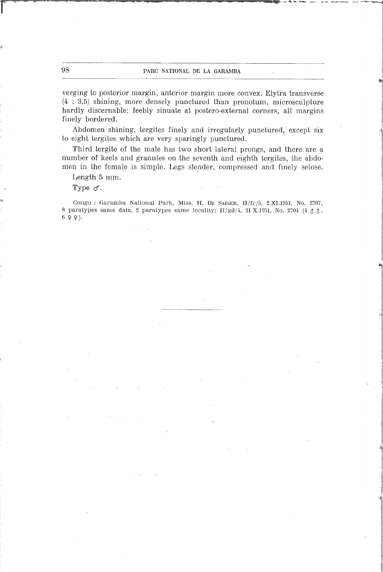## 98 PARC NATIONAL DE LA GARAMBA

verging to posterior margin, anterior margin more convex. Elytra transverse  $(4:3.5)$  shining, more densely punctured than pronotum, microsculpture hardly discernable; feebly sinuate at postero-external corners, ail margins finely bordered.

Abdomen shining, tergites finely and irregularly punctured, except six to eight tergites which are very sparingly punctured.

Third tergite of the male has two short latéral prongs, and there are <sup>a</sup> number of keels and granules on the seventh and eighth tergites, the abdomen in the female is simple. Legs slender, compressed and finely setose.

Length 5 mm.

Type o'.

Congo : Garamba National Park, Miss. H. De Saeger, II/fc/5, 2.XI.1951, No. 2707, 8 paratypes same data, 2 paratypes same locality; II/gd/4, 31 X.1951, No. 2704 (4  $\alpha \beta$ , <sup>6</sup> 9 9).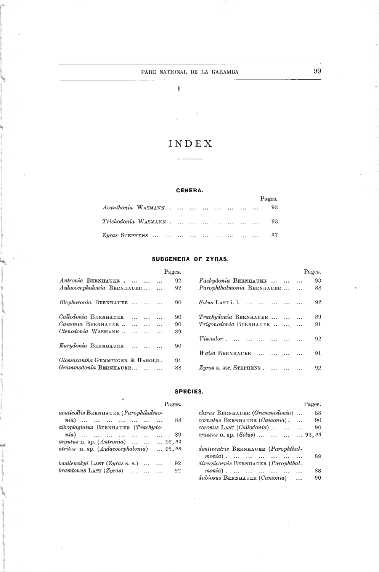$\bar{k}$ 

# INDEX

 $\overline{\phantom{a}}$ 

#### GENERA.

|                     |  |  |  | Pages. |
|---------------------|--|--|--|--------|
| Acanthonia WASMANN  |  |  |  | 93     |
| Trichodonia WASMANN |  |  |  | -93    |
|                     |  |  |  | - 87   |

## SUBGENERA OF ZYRAS.

|                                  | Pages. |                           | Pages. |
|----------------------------------|--------|---------------------------|--------|
| Antronia BERNHAUER               | 92     | Pachydonia BERNHAUER      | 93     |
| Aulacocephalonia BERNHAUER       | 92     | Parophthalmonia BERNHAUER | 88     |
| Blepharonia BERNHAUER            | 90     | $Solus$ LAST i. 1.        | 92     |
| Callodonia BERNHAUER             | 90     | Trachydonia BERNHAUER     | 89     |
| Camonia BERNHAUER                | 90     | Trigonodonia BERNHAUER    | 91     |
| Ctenodonia WASMANN               | 89     |                           |        |
| Eurydonia BERNHAUER              | 90     | $Visendor$ ,              | 92     |
|                                  |        | Watsa BERNHAUER           | 91.    |
| Glossacantha GEMMINGER & HAROLD. | 91     |                           |        |
| Grammodonia BERNHAUER            | 88     | $Zyras$ s. str. STEPHENS. | 92     |

#### SPECIES.

| Pages.                                        | Pages.                                   |
|-----------------------------------------------|------------------------------------------|
| acuticollis BERNHAUER (Parophthalmo-          | clarus BERNHAUER (Grammodonia)<br>88     |
| $ni\alpha$ )<br>88                            | $commutus$ BERNHAUER $(Camonia)$ .<br>90 |
| alboplagiatus BERNHAUER (Trachydo-            | $coronus$ LAST $(Callodonia)$<br>90      |
| $nia)$ 89                                     | crassus n. sp. (Solus)     92,96         |
| <i>argutus</i> n. sp. $(Antronia)$ 92, 93     |                                          |
| $atritas$ n. sp. $(Aulacocephalonia)$ $92,96$ | dentiventris BERNHAUER (Parophthal-      |
|                                               | $monia)$ .<br>88                         |
| basilevskyi LAST $(Zyras s. s.)$<br>92        | diversicornis BERNHAUER (Parophthal-     |
| 92                                            | 88<br>$monia)$ ,                         |
|                                               | $dubiosus$ BERNHAUER $(Camonia)$<br>90   |